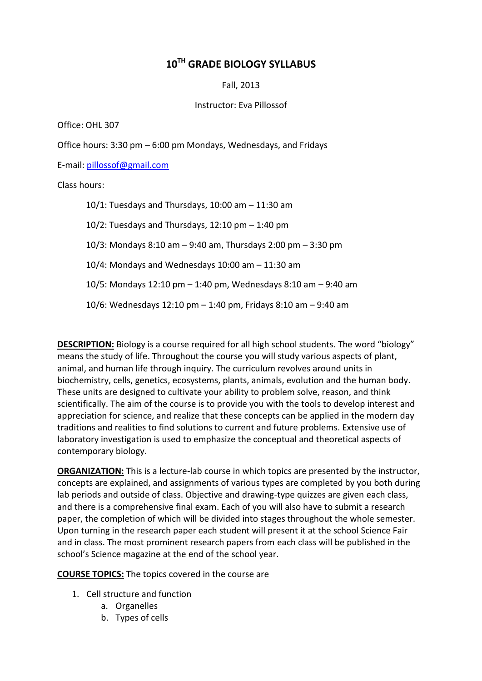## **10 TH GRADE BIOLOGY SYLLABUS**

Fall, 2013

Instructor: Eva Pillossof

Office: OHL 307

Office hours: 3:30 pm – 6:00 pm Mondays, Wednesdays, and Fridays

E-mail: [pillossof@gmail.com](mailto:pillossof@gmail.com)

Class hours:

10/1: Tuesdays and Thursdays, 10:00 am – 11:30 am 10/2: Tuesdays and Thursdays, 12:10  $pm - 1:40$  pm 10/3: Mondays 8:10 am – 9:40 am, Thursdays 2:00 pm – 3:30 pm 10/4: Mondays and Wednesdays 10:00 am – 11:30 am 10/5: Mondays 12:10 pm – 1:40 pm, Wednesdays 8:10 am – 9:40 am 10/6: Wednesdays 12:10 pm – 1:40 pm, Fridays 8:10 am – 9:40 am

**DESCRIPTION:** Biology is a course required for all high school students. The word "biology" means the study of life. Throughout the course you will study various aspects of plant, animal, and human life through inquiry. The curriculum revolves around units in biochemistry, cells, genetics, ecosystems, plants, animals, evolution and the human body. These units are designed to cultivate your ability to problem solve, reason, and think scientifically. The aim of the course is to provide you with the tools to develop interest and appreciation for science, and realize that these concepts can be applied in the modern day traditions and realities to find solutions to current and future problems. Extensive use of laboratory investigation is used to emphasize the conceptual and theoretical aspects of contemporary biology.

**ORGANIZATION:** This is a lecture-lab course in which topics are presented by the instructor, concepts are explained, and assignments of various types are completed by you both during lab periods and outside of class. Objective and drawing-type quizzes are given each class, and there is a comprehensive final exam. Each of you will also have to submit a research paper, the completion of which will be divided into stages throughout the whole semester. Upon turning in the research paper each student will present it at the school Science Fair and in class. The most prominent research papers from each class will be published in the school's Science magazine at the end of the school year.

**COURSE TOPICS:** The topics covered in the course are

- 1. Cell structure and function
	- a. Organelles
	- b. Types of cells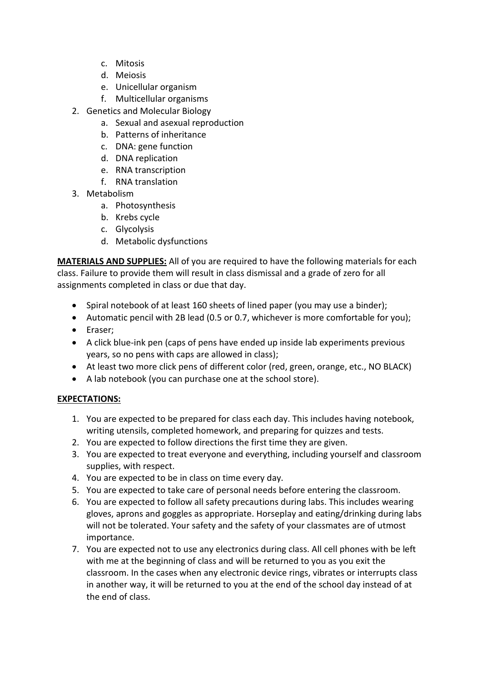- c. Mitosis
- d. Meiosis
- e. Unicellular organism
- f. Multicellular organisms
- 2. Genetics and Molecular Biology
	- a. Sexual and asexual reproduction
	- b. Patterns of inheritance
	- c. DNA: gene function
	- d. DNA replication
	- e. RNA transcription
	- f. RNA translation
- 3. Metabolism
	- a. Photosynthesis
	- b. Krebs cycle
	- c. Glycolysis
	- d. Metabolic dysfunctions

**MATERIALS AND SUPPLIES:** All of you are required to have the following materials for each class. Failure to provide them will result in class dismissal and a grade of zero for all assignments completed in class or due that day.

- Spiral notebook of at least 160 sheets of lined paper (you may use a binder);
- Automatic pencil with 2B lead (0.5 or 0.7, whichever is more comfortable for you);
- Eraser:
- A click blue-ink pen (caps of pens have ended up inside lab experiments previous years, so no pens with caps are allowed in class);
- At least two more click pens of different color (red, green, orange, etc., NO BLACK)
- A lab notebook (you can purchase one at the school store).

## **EXPECTATIONS:**

- 1. You are expected to be prepared for class each day. This includes having notebook, writing utensils, completed homework, and preparing for quizzes and tests.
- 2. You are expected to follow directions the first time they are given.
- 3. You are expected to treat everyone and everything, including yourself and classroom supplies, with respect.
- 4. You are expected to be in class on time every day.
- 5. You are expected to take care of personal needs before entering the classroom.
- 6. You are expected to follow all safety precautions during labs. This includes wearing gloves, aprons and goggles as appropriate. Horseplay and eating/drinking during labs will not be tolerated. Your safety and the safety of your classmates are of utmost importance.
- 7. You are expected not to use any electronics during class. All cell phones with be left with me at the beginning of class and will be returned to you as you exit the classroom. In the cases when any electronic device rings, vibrates or interrupts class in another way, it will be returned to you at the end of the school day instead of at the end of class.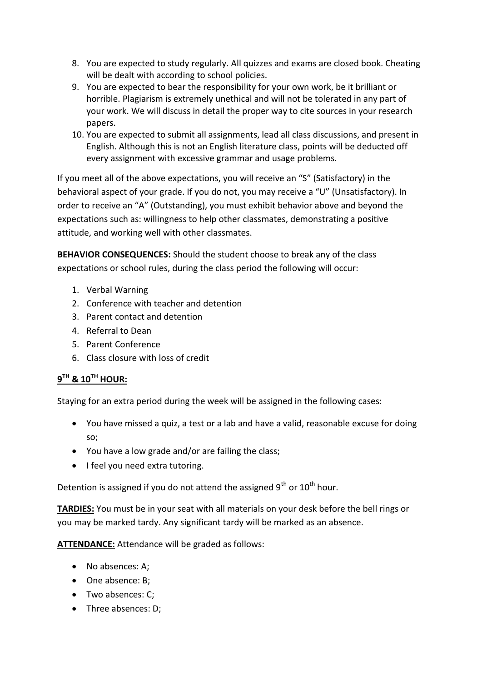- 8. You are expected to study regularly. All quizzes and exams are closed book. Cheating will be dealt with according to school policies.
- 9. You are expected to bear the responsibility for your own work, be it brilliant or horrible. Plagiarism is extremely unethical and will not be tolerated in any part of your work. We will discuss in detail the proper way to cite sources in your research papers.
- 10. You are expected to submit all assignments, lead all class discussions, and present in English. Although this is not an English literature class, points will be deducted off every assignment with excessive grammar and usage problems.

If you meet all of the above expectations, you will receive an "S" (Satisfactory) in the behavioral aspect of your grade. If you do not, you may receive a "U" (Unsatisfactory). In order to receive an "A" (Outstanding), you must exhibit behavior above and beyond the expectations such as: willingness to help other classmates, demonstrating a positive attitude, and working well with other classmates.

**BEHAVIOR CONSEQUENCES:** Should the student choose to break any of the class expectations or school rules, during the class period the following will occur:

- 1. Verbal Warning
- 2. Conference with teacher and detention
- 3. Parent contact and detention
- 4. Referral to Dean
- 5. Parent Conference
- 6. Class closure with loss of credit

## **9 TH & 10TH HOUR:**

Staying for an extra period during the week will be assigned in the following cases:

- You have missed a quiz, a test or a lab and have a valid, reasonable excuse for doing so;
- You have a low grade and/or are failing the class;
- I feel you need extra tutoring.

Detention is assigned if you do not attend the assigned  $9^{th}$  or  $10^{th}$  hour.

**TARDIES:** You must be in your seat with all materials on your desk before the bell rings or you may be marked tardy. Any significant tardy will be marked as an absence.

**ATTENDANCE:** Attendance will be graded as follows:

- No absences: A;
- One absence: B:
- Two absences: C;
- Three absences: D;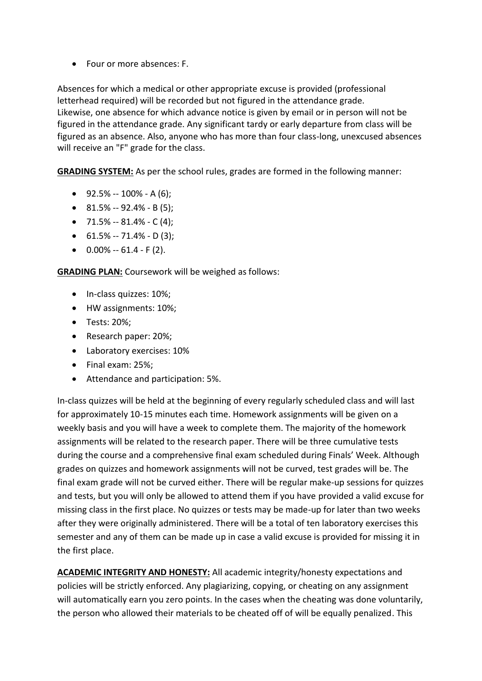• Four or more absences: F.

Absences for which a medical or other appropriate excuse is provided (professional letterhead required) will be recorded but not figured in the attendance grade. Likewise, one absence for which advance notice is given by email or in person will not be figured in the attendance grade. Any significant tardy or early departure from class will be figured as an absence. Also, anyone who has more than four class-long, unexcused absences will receive an "F" grade for the class.

**GRADING SYSTEM:** As per the school rules, grades are formed in the following manner:

- $\bullet$  92.5% -- 100% A (6):
- $\bullet$  81.5% -- 92.4% B(5);
- $\bullet$  71.5% -- 81.4% C(4);
- $\bullet$  61.5% -- 71.4% D (3);
- $\bullet$  0.00% -- 61.4 F (2).

**GRADING PLAN:** Coursework will be weighed as follows:

- In-class quizzes: 10%;
- HW assignments: 10%;
- Tests: 20%;
- Research paper: 20%;
- Laboratory exercises: 10%
- Final exam: 25%;
- Attendance and participation: 5%.

In-class quizzes will be held at the beginning of every regularly scheduled class and will last for approximately 10-15 minutes each time. Homework assignments will be given on a weekly basis and you will have a week to complete them. The majority of the homework assignments will be related to the research paper. There will be three cumulative tests during the course and a comprehensive final exam scheduled during Finals' Week. Although grades on quizzes and homework assignments will not be curved, test grades will be. The final exam grade will not be curved either. There will be regular make-up sessions for quizzes and tests, but you will only be allowed to attend them if you have provided a valid excuse for missing class in the first place. No quizzes or tests may be made-up for later than two weeks after they were originally administered. There will be a total of ten laboratory exercises this semester and any of them can be made up in case a valid excuse is provided for missing it in the first place.

**ACADEMIC INTEGRITY AND HONESTY:** All academic integrity/honesty expectations and policies will be strictly enforced. Any plagiarizing, copying, or cheating on any assignment will automatically earn you zero points. In the cases when the cheating was done voluntarily, the person who allowed their materials to be cheated off of will be equally penalized. This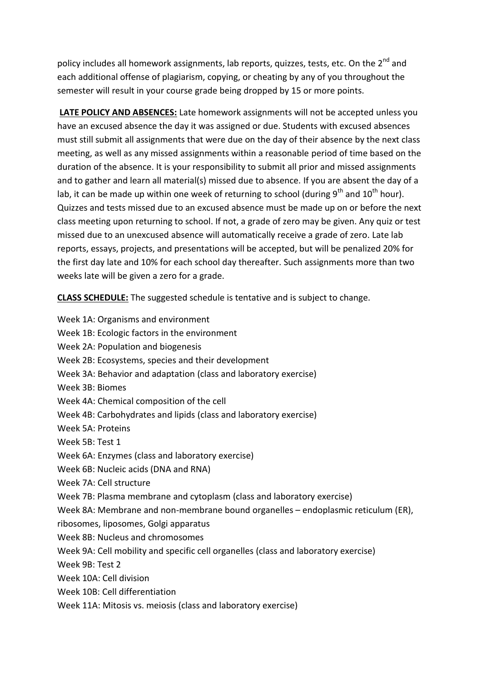policy includes all homework assignments, lab reports, quizzes, tests, etc. On the 2<sup>nd</sup> and each additional offense of plagiarism, copying, or cheating by any of you throughout the semester will result in your course grade being dropped by 15 or more points.

**LATE POLICY AND ABSENCES:** Late homework assignments will not be accepted unless you have an excused absence the day it was assigned or due. Students with excused absences must still submit all assignments that were due on the day of their absence by the next class meeting, as well as any missed assignments within a reasonable period of time based on the duration of the absence. It is your responsibility to submit all prior and missed assignments and to gather and learn all material(s) missed due to absence. If you are absent the day of a lab, it can be made up within one week of returning to school (during  $9<sup>th</sup>$  and  $10<sup>th</sup>$  hour). Quizzes and tests missed due to an excused absence must be made up on or before the next class meeting upon returning to school. If not, a grade of zero may be given. Any quiz or test missed due to an unexcused absence will automatically receive a grade of zero. Late lab reports, essays, projects, and presentations will be accepted, but will be penalized 20% for the first day late and 10% for each school day thereafter. Such assignments more than two weeks late will be given a zero for a grade.

**CLASS SCHEDULE:** The suggested schedule is tentative and is subject to change.

- Week 1A: Organisms and environment
- Week 1B: Ecologic factors in the environment
- Week 2A: Population and biogenesis
- Week 2B: Ecosystems, species and their development
- Week 3A: Behavior and adaptation (class and laboratory exercise)
- Week 3B: Biomes
- Week 4A: Chemical composition of the cell
- Week 4B: Carbohydrates and lipids (class and laboratory exercise)
- Week 5A: Proteins
- Week 5B: Test 1
- Week 6A: Enzymes (class and laboratory exercise)
- Week 6B: Nucleic acids (DNA and RNA)
- Week 7A: Cell structure
- Week 7B: Plasma membrane and cytoplasm (class and laboratory exercise)
- Week 8A: Membrane and non-membrane bound organelles endoplasmic reticulum (ER),
- ribosomes, liposomes, Golgi apparatus
- Week 8B: Nucleus and chromosomes
- Week 9A: Cell mobility and specific cell organelles (class and laboratory exercise)
- Week 9B: Test 2
- Week 10A: Cell division
- Week 10B: Cell differentiation
- Week 11A: Mitosis vs. meiosis (class and laboratory exercise)